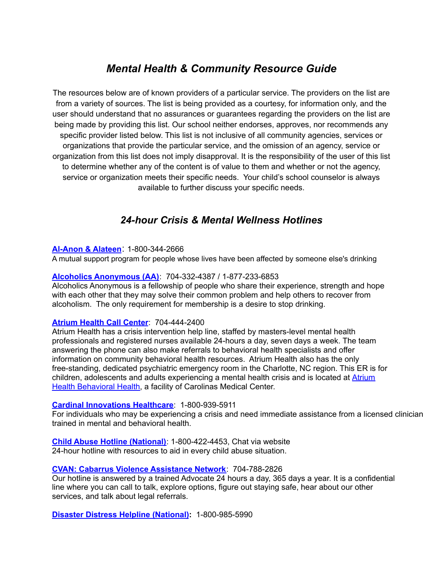# *Mental Health & Community Resource Guide*

The resources below are of known providers of a particular service. The providers on the list are from a variety of sources. The list is being provided as a courtesy, for information only, and the user should understand that no assurances or guarantees regarding the providers on the list are being made by providing this list. Our school neither endorses, approves, nor recommends any specific provider listed below. This list is not inclusive of all community agencies, services or organizations that provide the particular service, and the omission of an agency, service or organization from this list does not imply disapproval. It is the responsibility of the user of this list to determine whether any of the content is of value to them and whether or not the agency, service or organization meets their specific needs. Your child's school counselor is always available to further discuss your specific needs.

# *24-hour Crisis & Mental Wellness Hotlines*

# **[Al-Anon](https://al-anon.org/) & Alateen**: 1-800-344-2666

A mutual support program for people whose lives have been affected by someone else's drinking

# **Alcoholics [Anonymous](http://charlotteaa.org/) (AA)**: 704-332-4387 / 1-877-233-6853

Alcoholics Anonymous is a fellowship of people who share their experience, strength and hope with each other that they may solve their common problem and help others to recover from alcoholism. The only requirement for membership is a desire to stop drinking.

# **[Atrium](https://atriumhealth.org/medical-services/prevention-wellness/behavioral-health) Health Call Center**: 704-444-2400

Atrium Health has a crisis intervention help line, staffed by masters-level mental health professionals and registered nurses available 24-hours a day, seven days a week. The team answering the phone can also make referrals to behavioral health specialists and offer information on community behavioral health resources. Atrium Health also has the only free-standing, dedicated psychiatric emergency room in the Charlotte, NC region. This ER is for children, adolescents and adults experiencing a mental health crisis and is located at [Atrium](https://www.atriumhealth.org/medical-services/prevention-wellness/behavioral-health/locations#chsc) Health [Behavioral](https://www.atriumhealth.org/medical-services/prevention-wellness/behavioral-health/locations#chsc) Health, a facility of Carolinas Medical Center.

# **Cardinal [Innovations](https://www.cardinalinnovations.org/Mental-Health-Crisis-Line) Healthcare**: 1-800-939-5911

For individuals who may be experiencing a crisis and need immediate assistance from a licensed clinician trained in mental and behavioral health.

**Child Abuse Hotline [\(National\)](https://childhelphotline.org/)**: 1-800-422-4453, Chat via website 24-hour hotline with resources to aid in every child abuse situation.

# **CVAN: Cabarrus Violence [Assistance](https://www.cvan.org/Services.aspx#Hotline) Network**: 704-788-2826

Our hotline is answered by a trained Advocate 24 hours a day, 365 days a year. It is a confidential line where you can call to talk, explore options, figure out staying safe, hear about our other services, and talk about legal referrals.

**Disaster Distress Helpline [\(National\)](https://www.samhsa.gov/find-help/disaster-distress-helpline):** 1-800-985-5990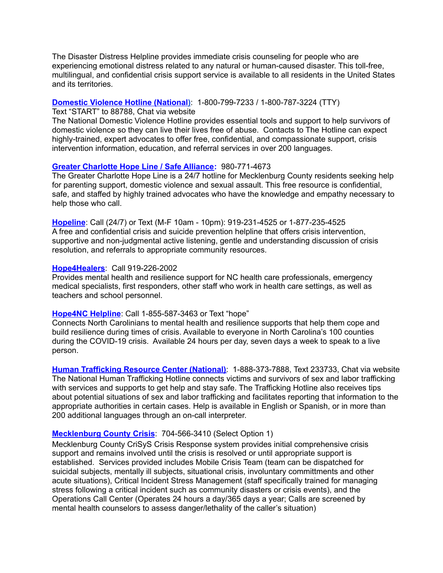The Disaster Distress Helpline provides immediate crisis counseling for people who are experiencing emotional distress related to any natural or human-caused disaster. This toll-free, multilingual, and confidential crisis support service is available to all residents in the United States and its territories.

#### **Domestic Violence Hotline [\(National\)](https://www.thehotline.org/)**: 1-800-799-7233 / 1-800-787-3224 (TTY)

Text "START" to 88788, Chat via website

The National Domestic Violence Hotline provides essential tools and support to help survivors of domestic violence so they can live their lives free of abuse. Contacts to The Hotline can expect highly-trained, expert advocates to offer free, confidential, and compassionate support, crisis intervention information, education, and referral services in over 200 languages.

#### **Greater [Charlotte](https://www.safealliance.org/programs/greater-charlotte-hope-line/) Hope Line / Safe Alliance:** 980-771-4673

The Greater Charlotte Hope Line is a 24/7 hotline for Mecklenburg County residents seeking help for parenting support, domestic violence and sexual assault. This free resource is confidential, safe, and staffed by highly trained advocates who have the knowledge and empathy necessary to help those who call.

**[Hopeline](https://www.hopeline-nc.org/)**: Call (24/7) or Text (M-F 10am - 10pm): 919-231-4525 or 1-877-235-4525 A free and confidential crisis and suicide prevention helpline that offers crisis intervention, supportive and non-judgmental active listening, gentle and understanding discussion of crisis resolution, and referrals to appropriate community resources.

#### **[Hope4Healers](https://www.ncdhhs.gov/divisions/mental-health-developmental-disabilities-and-substance-abuse/hope4nc/hope4healers-helpline)**: Call 919-226-2002

Provides mental health and resilience support for NC health care professionals, emergency medical specialists, first responders, other staff who work in health care settings, as well as teachers and school personnel.

#### **[Hope4NC](https://www.ncdhhs.gov/divisions/mental-health-developmental-disabilities-and-substance-abuse/hope4nc-and-hope4healers) Helpline**: Call 1-855-587-3463 or Text "hope"

Connects North Carolinians to mental health and resilience supports that help them cope and build resilience during times of crisis. Available to everyone in North Carolina's 100 counties during the COVID-19 crisis. Available 24 hours per day, seven days a week to speak to a live person.

**Human [Trafficking](https://humantraffickinghotline.org/) Resource Center (National)**: 1-888-373-7888, Text 233733, Chat via website The National Human Trafficking Hotline connects victims and survivors of sex and labor trafficking with services and supports to get help and stay safe. The Trafficking Hotline also receives tips about potential situations of sex and labor trafficking and facilitates reporting that information to the appropriate authorities in certain cases. Help is available in English or Spanish, or in more than 200 additional languages through an on-call interpreter.

#### **[Mecklenburg](https://www.thesantegroup.org/mecklenburg-county-crisis) County Crisis**: 704-566-3410 (Select Option 1)

Mecklenburg County CriSyS Crisis Response system provides initial comprehensive crisis support and remains involved until the crisis is resolved or until appropriate support is established. Services provided includes Mobile Crisis Team (team can be dispatched for suicidal subjects, mentally ill subjects, situational crisis, involuntary committments and other acute situations), Critical Incident Stress Management (staff specifically trained for managing stress following a critical incident such as community disasters or crisis events), and the Operations Call Center (Operates 24 hours a day/365 days a year; Calls are screened by mental health counselors to assess danger/lethality of the caller's situation)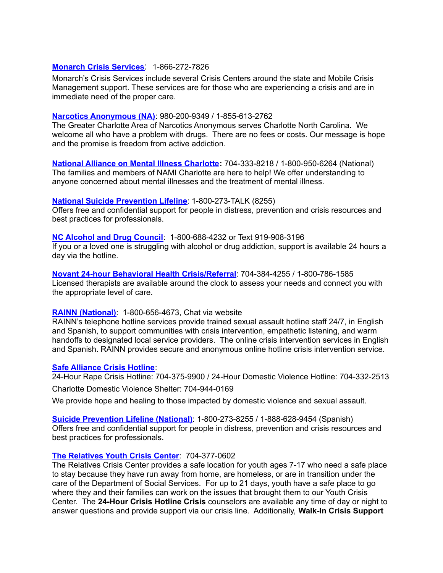### **[Monarch](https://monarchnc.org/crisis-services/) Crisis Services**: 1-866-272-7826

Monarch's Crisis Services include several Crisis Centers around the state and Mobile Crisis Management support. These services are for those who are experiencing a crisis and are in immediate need of the proper care.

#### **Narcotics [Anonymous](https://charlotte-na.org/) (NA)**: 980-200-9349 / 1-855-613-2762

The Greater Charlotte Area of Narcotics Anonymous serves Charlotte North Carolina. We welcome all who have a problem with drugs. There are no fees or costs. Our message is hope and the promise is freedom from active addiction.

**National Alliance on Mental Illness [Charlotte](https://namicharlotte.org/):** 704-333-8218 / 1-800-950-6264 (National) The families and members of NAMI Charlotte are here to help! We offer understanding to anyone concerned about mental illnesses and the treatment of mental illness.

#### **National Suicide [Prevention](https://suicidepreventionlifeline.org/) Lifeline**: 1-800-273-TALK (8255)

Offers free and confidential support for people in distress, prevention and crisis resources and best practices for professionals.

#### **NC [Alcohol](https://www.alcoholdrughelp.org/) and Drug Council**: 1-800-688-4232 or Text 919-908-3196

If you or a loved one is struggling with alcohol or drug addiction, support is available 24 hours a day via the hotline.

**Novant 24-hour Behavioral Health [Crisis/Referral](https://www.novanthealth.org/presbyterian-medical-center/services/behavioral-health.aspx)**: 704-384-4255 / 1-800-786-1585 Licensed therapists are available around the clock to assess your needs and connect you with the appropriate level of care.

#### **RAINN [\(National\)](https://www.rainn.org/)**: 1-800-656-4673, Chat via website

RAINN's telephone hotline services provide trained sexual assault hotline staff 24/7, in English and Spanish, to support communities with crisis intervention, empathetic listening, and warm handoffs to designated local service providers. The online crisis intervention services in English and Spanish. RAINN provides secure and anonymous online hotline crisis intervention service.

#### **Safe [Alliance](https://www.safealliance.org/) Crisis Hotline**:

24-Hour Rape Crisis Hotline: 704-375-9900 / 24-Hour Domestic Violence Hotline: 704-332-2513 Charlotte Domestic Violence Shelter: 704-944-0169

We provide hope and healing to those impacted by domestic violence and sexual assault.

**Suicide [Prevention](https://suicidepreventionlifeline.org/) Lifeline (National)**: 1-800-273-8255 / 1-888-628-9454 (Spanish) Offers free and confidential support for people in distress, prevention and crisis resources and best practices for professionals.

#### **The [Relatives](https://therelatives.org/our-programs/youth-crisis-center/) Youth Crisis Center**: 704-377-0602

The Relatives Crisis Center provides a safe location for youth ages 7-17 who need a safe place to stay because they have run away from home, are homeless, or are in transition under the care of the Department of Social Services. For up to 21 days, youth have a safe place to go where they and their families can work on the issues that brought them to our Youth Crisis Center. The **24-Hour Crisis Hotline Crisis** counselors are available any time of day or night to answer questions and provide support via our crisis line. Additionally, **Walk-In Crisis Support**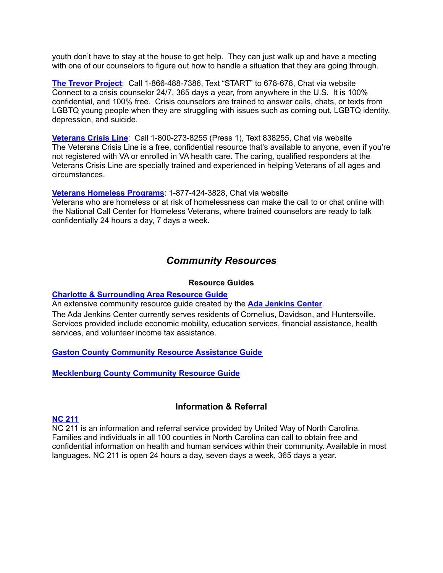youth don't have to stay at the house to get help. They can just walk up and have a meeting with one of our counselors to figure out how to handle a situation that they are going through.

**The Trevor [Project](https://www.thetrevorproject.org/get-help/)**: Call 1-866-488-7386, Text "START" to 678-678, Chat via website Connect to a crisis counselor 24/7, 365 days a year, from anywhere in the U.S. It is 100% confidential, and 100% free. Crisis counselors are trained to answer calls, chats, or texts from LGBTQ young people when they are struggling with issues such as coming out, LGBTQ identity, depression, and suicide.

**[Veterans](https://www.veteranscrisisline.net/) Crisis Line**: Call 1-800-273-8255 (Press 1), Text 838255, Chat via website The Veterans Crisis Line is a free, confidential resource that's available to anyone, even if you're not registered with VA or enrolled in VA health care. The caring, qualified responders at the Veterans Crisis Line are specially trained and experienced in helping Veterans of all ages and circumstances.

**Veterans [Homeless](https://www.veteranscrisisline.net/get-help/chat/homeless-veterans-chat) Programs**: 1-877-424-3828, Chat via website Veterans who are homeless or at risk of homelessness can make the call to or chat online with the National Call Center for Homeless Veterans, where trained counselors are ready to talk confidentially 24 hours a day, 7 days a week.

# *Community Resources*

### **Resource Guides**

#### **Charlotte & [Surrounding](https://www.adajenkins.org/wp-content/uploads/2021/02/Ada-Jenkins-Center-Resource-Manual-updated-February-2021.pdf) Area Resource Guide**

An extensive community resource guide created by the **Ada [Jenkins](https://www.adajenkins.org/) Center**.

The Ada Jenkins Center currently serves residents of Cornelius, Davidson, and Huntersville. Services provided include economic mobility, education services, financial assistance, health services, and volunteer income tax assistance.

# **Gaston County [Community](https://www.ncworks.gov/admin/gsipub/htmlarea/uploads/CRAG/Gaston_County.pdf) Resource Assistance Guide**

**[Mecklenburg](https://www.mecknc.gov/HealthDepartment/CommunityHealthServices/Pages/CRG.aspx) County Community Resource Guide**

# **Information & Referral**

# **NC [211](https://nc211.org/)**

NC 211 is an information and referral service provided by United Way of North Carolina. Families and individuals in all 100 counties in North Carolina can call to obtain free and confidential information on health and human services within their community. Available in most languages, NC 211 is open 24 hours a day, seven days a week, 365 days a year.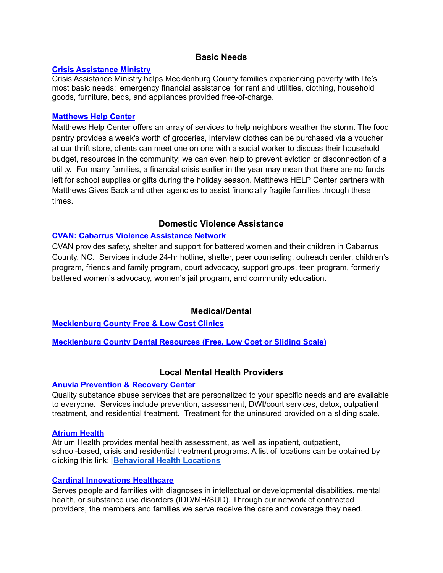# **Basic Needs**

#### **Crisis [Assistance](https://www.crisisassistance.org/) Ministry**

Crisis Assistance Ministry helps Mecklenburg County families experiencing poverty with life's most basic needs: emergency financial assistance for rent and utilities, clothing, household goods, furniture, beds, and appliances provided free-of-charge.

### **[Matthews](https://matthewshelpcenter.org/) Help Center**

Matthews Help Center offers an array of services to help neighbors weather the storm. The food pantry provides a week's worth of groceries, interview clothes can be purchased via a voucher at our thrift store, clients can meet one on one with a social worker to discuss their household budget, resources in the community; we can even help to prevent eviction or disconnection of a utility. For many families, a financial crisis earlier in the year may mean that there are no funds left for school supplies or gifts during the holiday season. Matthews HELP Center partners with Matthews Gives Back and other agencies to assist financially fragile families through these times.

# **Domestic Violence Assistance**

# **CVAN: Cabarrus Violence [Assistance](https://www.cvan.org/) Network**

CVAN provides safety, shelter and support for battered women and their children in Cabarrus County, NC. Services include 24-hr hotline, shelter, peer counseling, outreach center, children's program, friends and family program, court advocacy, support groups, teen program, formerly battered women's advocacy, women's jail program, and community education.

# **Medical/Dental**

**[Mecklenburg](https://www.mecknc.gov/HealthDepartment/Documents/FreeLowCostClinics.pdf) County Free & Low Cost Clinics**

**[Mecklenburg](https://www.mecknc.gov/HealthDepartment/Documents/DentalResourcesPamphletOctober2016.pdf) County Dental Resources (Free, Low Cost or Sliding Scale)**

# **Local Mental Health Providers**

# **Anuvia [Prevention](https://www.anuvia.org/) & Recovery Center**

Quality substance abuse services that are personalized to your specific needs and are available to everyone. Services include prevention, assessment, DWI/court services, detox, outpatient treatment, and residential treatment. Treatment for the uninsured provided on a sliding scale.

#### **[Atrium](https://atriumhealth.org/medical-services/prevention-wellness/behavioral-health) Health**

Atrium Health provides mental health assessment, as well as inpatient, outpatient, school-based, crisis and residential treatment programs. A list of locations can be obtained by clicking this link: **[Behavioral](https://atriumhealth.org/medical-services/prevention-wellness/behavioral-health/locations) Health Locations**

# **Cardinal [Innovations](https://www.cardinalinnovations.org/Members/Available-Services) Healthcare**

Serves people and families with diagnoses in intellectual or developmental disabilities, mental health, or substance use disorders (IDD/MH/SUD). Through our network of contracted providers, the members and families we serve receive the care and coverage they need.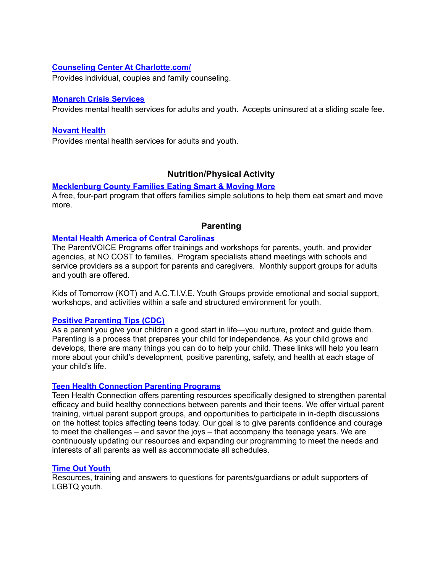### **Counseling Center At [Charlotte.com/](http://counselingcenteratcharlotte.com/)**

Provides individual, couples and family counseling.

#### **[Monarch](https://monarchnc.org/) Crisis Services**

Provides mental health services for adults and youth. Accepts uninsured at a sliding scale fee.

#### **[Novant](https://www.novanthealth.org/presbyterian-medical-center/services/behavioral-health.aspx) Health**

Provides mental health services for adults and youth.

# **Nutrition/Physical Activity**

#### **[Mecklenburg](https://www.mecknc.gov/HealthDepartment/CommunityHealthServices/Pages/FamiliesESMM.aspx) County Families Eating Smart & Moving More**

A free, four-part program that offers families simple solutions to help them eat smart and move more.

# **Parenting**

#### **Mental Health America of Central [Carolinas](https://www.mhacentralcarolinas.org/parentVoice.cfm)**

The ParentVOICE Programs offer trainings and workshops for parents, youth, and provider agencies, at NO COST to families. Program specialists attend meetings with schools and service providers as a support for parents and caregivers. Monthly support groups for adults and youth are offered.

Kids of Tomorrow (KOT) and A.C.T.I.V.E. Youth Groups provide emotional and social support, workshops, and activities within a safe and structured environment for youth.

#### **Positive [Parenting](https://www.cdc.gov/ncbddd/childdevelopment/positiveparenting/index.html) Tips (CDC)**

As a parent you give your children a good start in life—you nurture, protect and guide them. Parenting is a process that prepares your child for independence. As your child grows and develops, there are many things you can do to help your child. These links will help you learn more about your child's development, positive parenting, safety, and health at each stage of your child's life.

#### **Teen Health [Connection](https://teenhealthconnection.org/parenting-programs/) Parenting Programs**

Teen Health Connection offers parenting resources specifically designed to strengthen parental efficacy and build healthy connections between parents and their teens. We offer virtual parent training, virtual parent support groups, and opportunities to participate in in-depth discussions on the hottest topics affecting teens today. Our goal is to give parents confidence and courage to meet the challenges – and savor the joys – that accompany the teenage years. We are continuously updating our resources and expanding our programming to meet the needs and interests of all parents as well as accommodate all schedules.

#### **Time Out [Youth](https://www.timeoutyouth.org/content/parents)**

Resources, training and answers to questions for parents/guardians or adult supporters of LGBTQ youth.